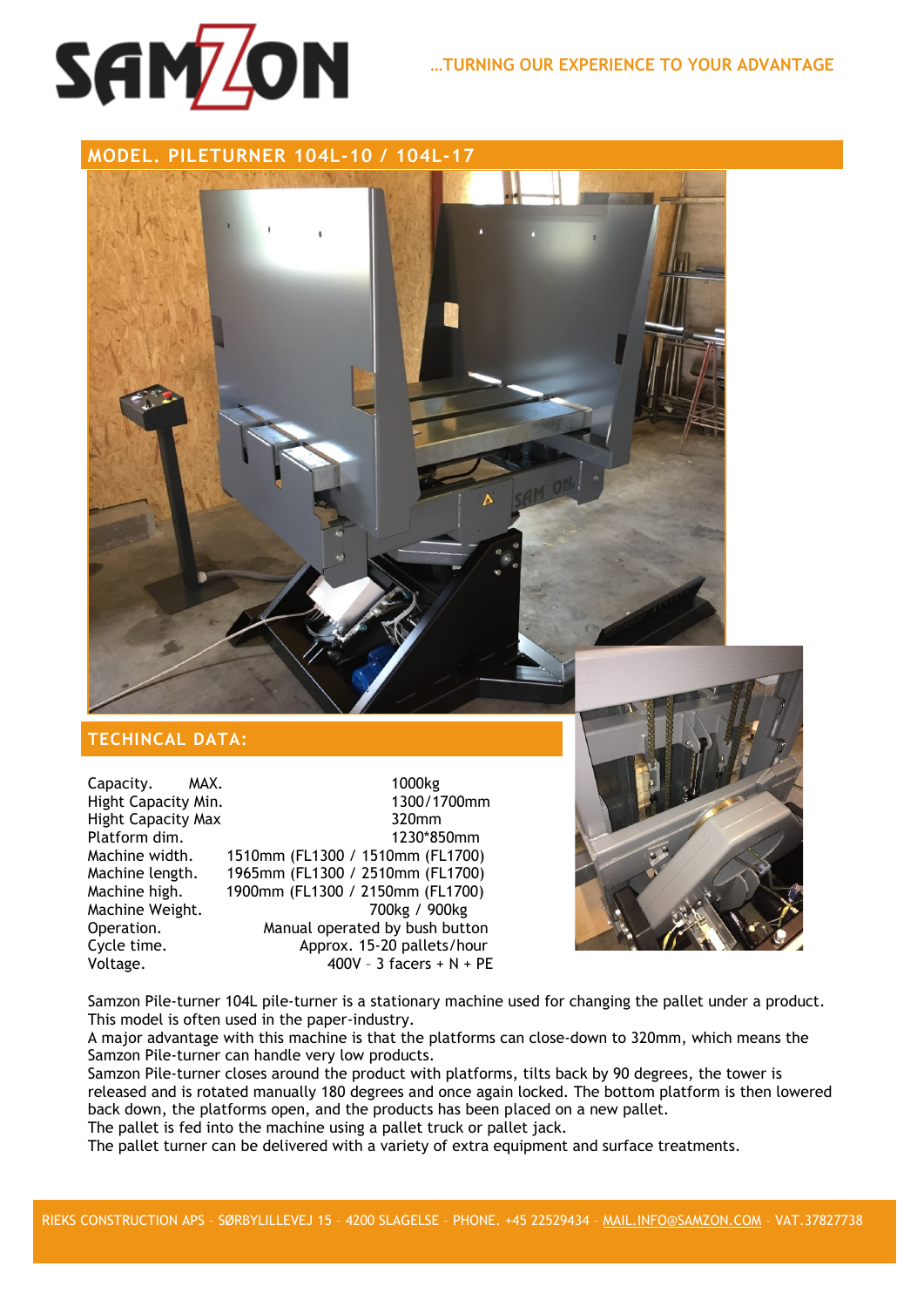

**MODEL. PILETURNER 104L-10 / 104L-17**

## **TECHINCAL DATA:**

Capacity. MAX. 1000kg<br>Hight Capacity Min. 1300/1700mm Hight Capacity Min. Hight Capacity Max 320mm Platform dim. 1230\*850mm Machine width. 1510mm (FL1300 / 1510mm (FL1700) 1965mm (FL1300 / 2510mm (FL1700) Machine high. 1900mm (FL1300 / 2150mm (FL1700) Machine Weight. Operation. Manual operated by bush button Cycle time. Approx. 15-20 pallets/hour Voltage.  $400V - 3$  facers + N + PE



Samzon Pile-turner 104L pile-turner is a stationary machine used for changing the pallet under a product. This model is often used in the paper-industry.

A major advantage with this machine is that the platforms can close-down to 320mm, which means the Samzon Pile-turner can handle very low products.

Samzon Pile-turner closes around the product with platforms, tilts back by 90 degrees, the tower is released and is rotated manually 180 degrees and once again locked. The bottom platform is then lowered back down, the platforms open, and the products has been placed on a new pallet.

The pallet is fed into the machine using a pallet truck or pallet jack.

The pallet turner can be delivered with a variety of extra equipment and surface treatments.